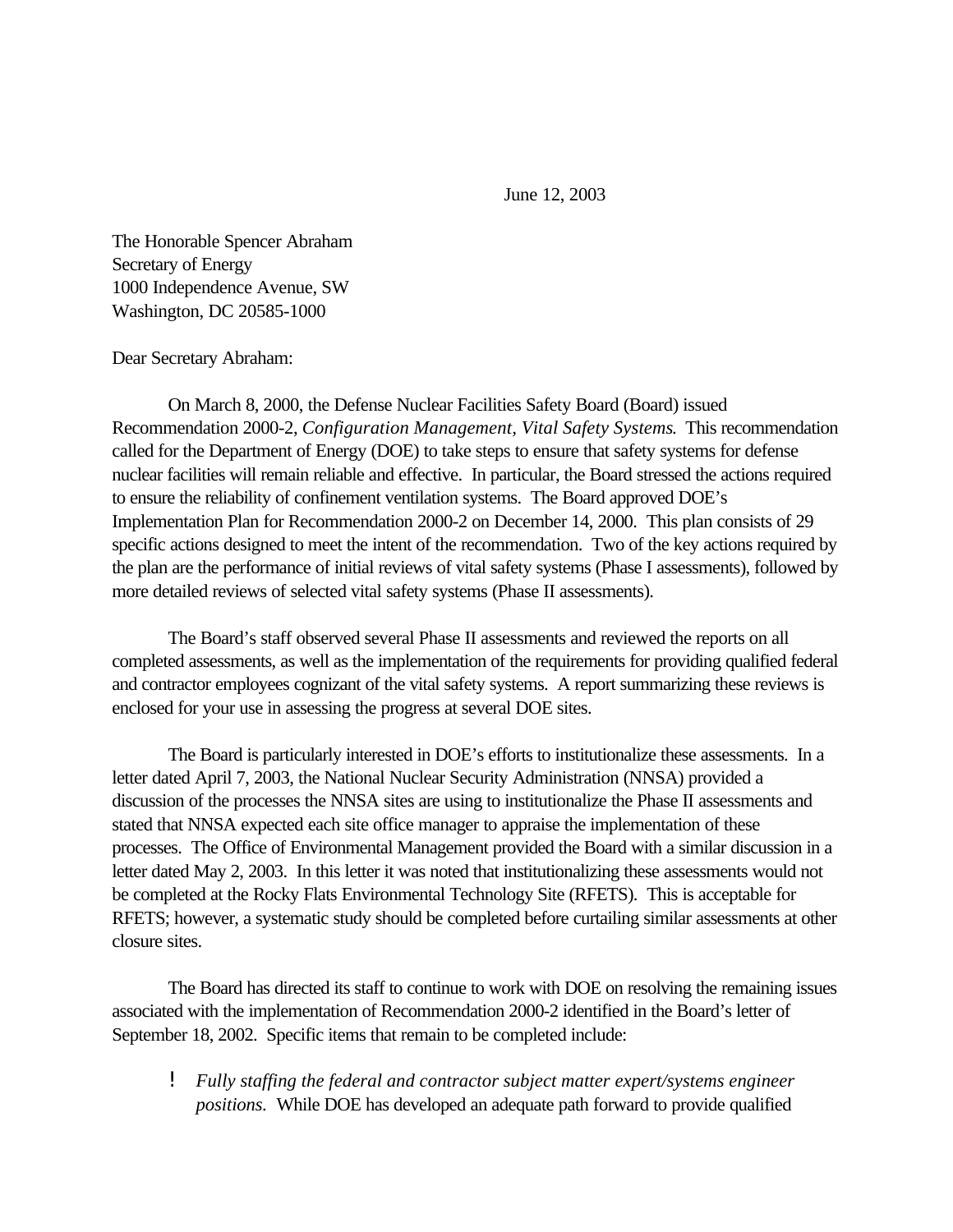June 12, 2003

The Honorable Spencer Abraham Secretary of Energy 1000 Independence Avenue, SW Washington, DC 20585-1000

Dear Secretary Abraham:

On March 8, 2000, the Defense Nuclear Facilities Safety Board (Board) issued Recommendation 2000-2, *Configuration Management, Vital Safety Systems*. This recommendation called for the Department of Energy (DOE) to take steps to ensure that safety systems for defense nuclear facilities will remain reliable and effective. In particular, the Board stressed the actions required to ensure the reliability of confinement ventilation systems. The Board approved DOE's Implementation Plan for Recommendation 2000-2 on December 14, 2000. This plan consists of 29 specific actions designed to meet the intent of the recommendation. Two of the key actions required by the plan are the performance of initial reviews of vital safety systems (Phase I assessments), followed by more detailed reviews of selected vital safety systems (Phase II assessments).

The Board's staff observed several Phase II assessments and reviewed the reports on all completed assessments, as well as the implementation of the requirements for providing qualified federal and contractor employees cognizant of the vital safety systems. A report summarizing these reviews is enclosed for your use in assessing the progress at several DOE sites.

The Board is particularly interested in DOE's efforts to institutionalize these assessments. In a letter dated April 7, 2003, the National Nuclear Security Administration (NNSA) provided a discussion of the processes the NNSA sites are using to institutionalize the Phase II assessments and stated that NNSA expected each site office manager to appraise the implementation of these processes. The Office of Environmental Management provided the Board with a similar discussion in a letter dated May 2, 2003. In this letter it was noted that institutionalizing these assessments would not be completed at the Rocky Flats Environmental Technology Site (RFETS). This is acceptable for RFETS; however, a systematic study should be completed before curtailing similar assessments at other closure sites.

The Board has directed its staff to continue to work with DOE on resolving the remaining issues associated with the implementation of Recommendation 2000-2 identified in the Board's letter of September 18, 2002. Specific items that remain to be completed include:

! *Fully staffing the federal and contractor subject matter expert/systems engineer positions.* While DOE has developed an adequate path forward to provide qualified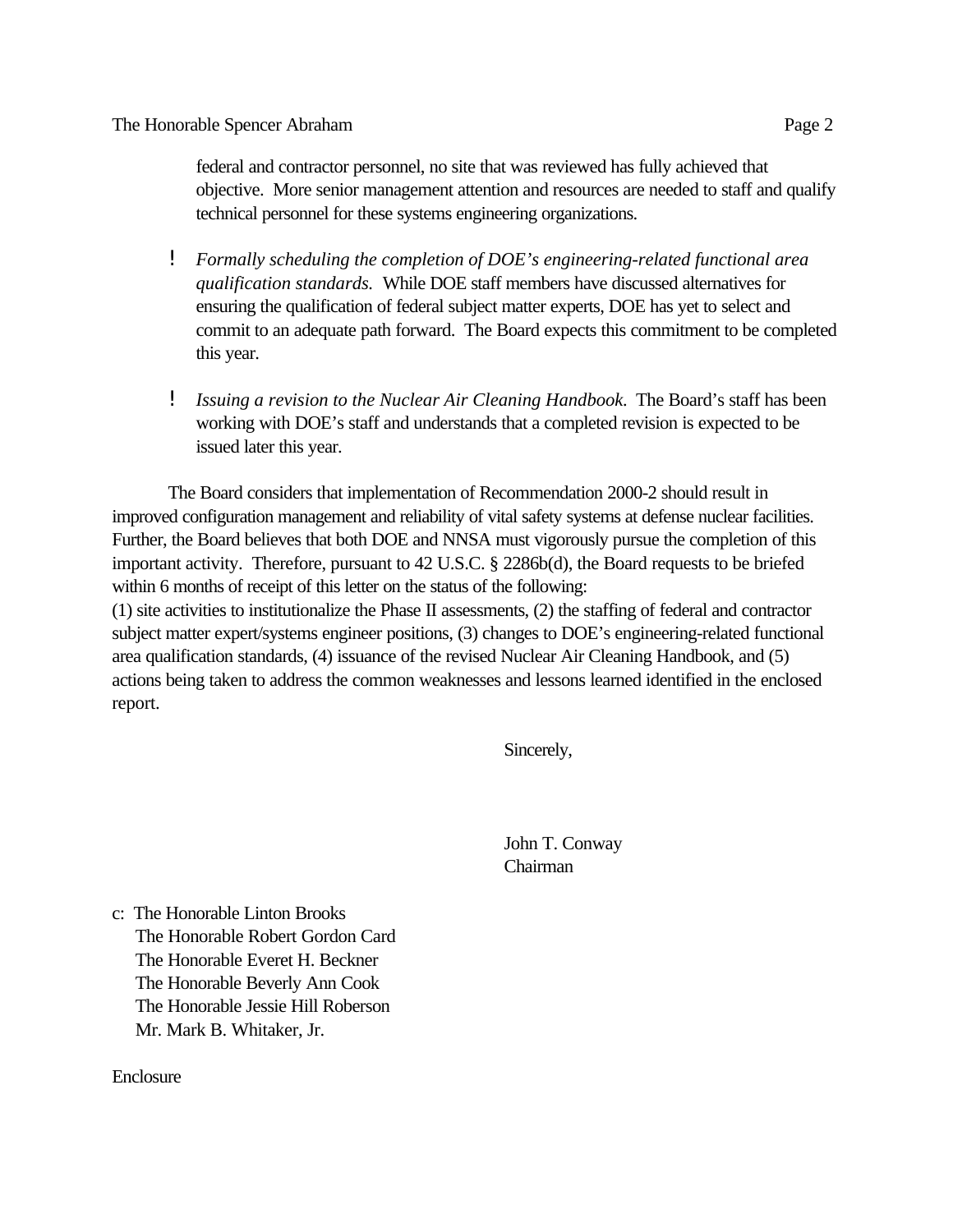federal and contractor personnel, no site that was reviewed has fully achieved that objective. More senior management attention and resources are needed to staff and qualify technical personnel for these systems engineering organizations.

- ! *Formally scheduling the completion of DOE's engineering-related functional area qualification standards.* While DOE staff members have discussed alternatives for ensuring the qualification of federal subject matter experts, DOE has yet to select and commit to an adequate path forward. The Board expects this commitment to be completed this year.
- ! *Issuing a revision to the Nuclear Air Cleaning Handbook.* The Board's staff has been working with DOE's staff and understands that a completed revision is expected to be issued later this year.

The Board considers that implementation of Recommendation 2000-2 should result in improved configuration management and reliability of vital safety systems at defense nuclear facilities. Further, the Board believes that both DOE and NNSA must vigorously pursue the completion of this important activity. Therefore, pursuant to 42 U.S.C. § 2286b(d), the Board requests to be briefed within 6 months of receipt of this letter on the status of the following:

(1) site activities to institutionalize the Phase II assessments, (2) the staffing of federal and contractor subject matter expert/systems engineer positions, (3) changes to DOE's engineering-related functional area qualification standards, (4) issuance of the revised Nuclear Air Cleaning Handbook, and (5) actions being taken to address the common weaknesses and lessons learned identified in the enclosed report.

Sincerely,

John T. Conway Chairman

c: The Honorable Linton Brooks The Honorable Robert Gordon Card The Honorable Everet H. Beckner The Honorable Beverly Ann Cook The Honorable Jessie Hill Roberson Mr. Mark B. Whitaker, Jr.

Enclosure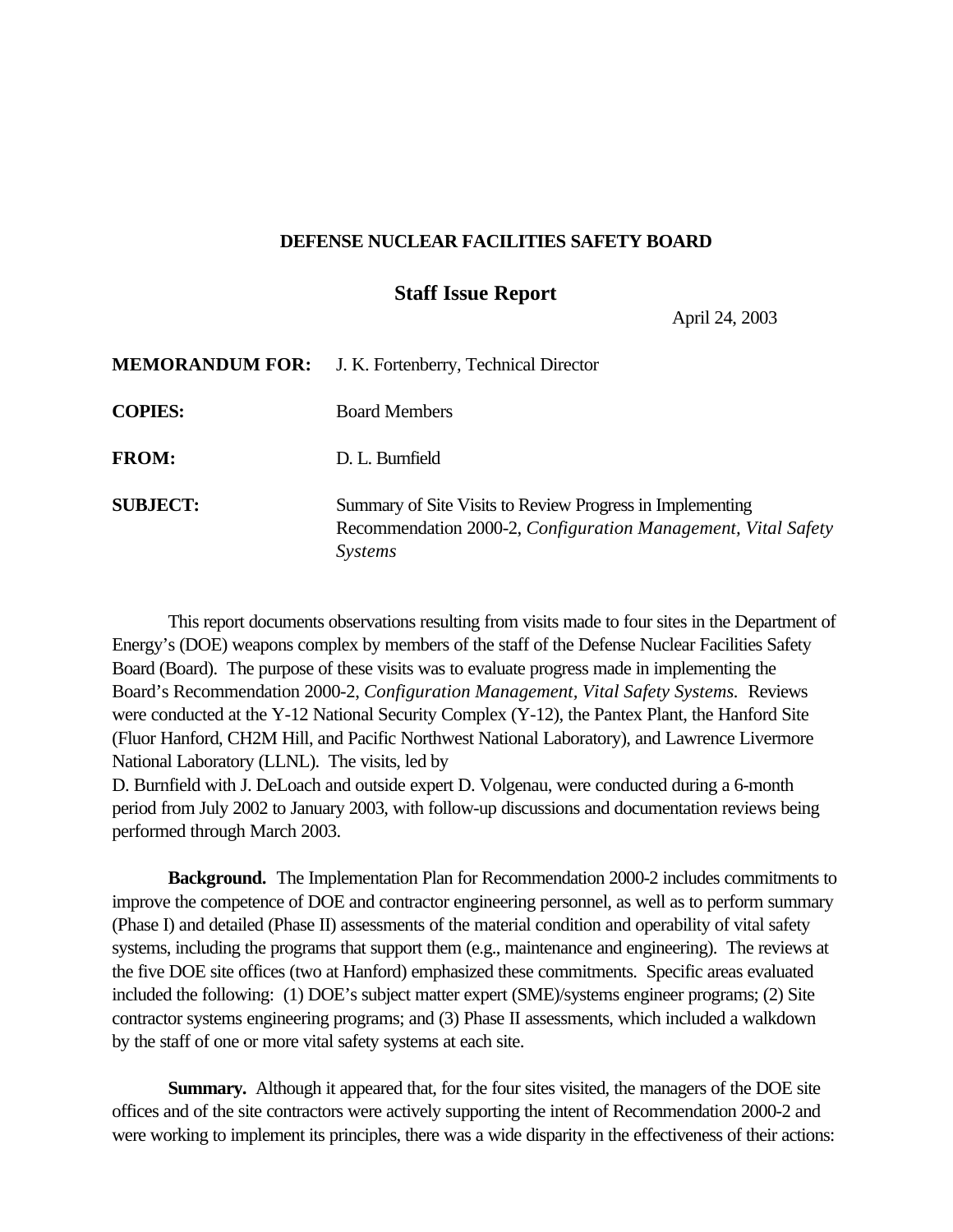## **DEFENSE NUCLEAR FACILITIES SAFETY BOARD**

## **Staff Issue Report**

April 24, 2003

| <b>MEMORANDUM FOR:</b> | J. K. Fortenberry, Technical Director                                                                                                        |
|------------------------|----------------------------------------------------------------------------------------------------------------------------------------------|
| <b>COPIES:</b>         | <b>Board Members</b>                                                                                                                         |
| <b>FROM:</b>           | D. L. Burnfield                                                                                                                              |
| <b>SUBJECT:</b>        | Summary of Site Visits to Review Progress in Implementing<br>Recommendation 2000-2, Configuration Management, Vital Safety<br><i>Systems</i> |

This report documents observations resulting from visits made to four sites in the Department of Energy's (DOE) weapons complex by members of the staff of the Defense Nuclear Facilities Safety Board (Board). The purpose of these visits was to evaluate progress made in implementing the Board's Recommendation 2000-2, *Configuration Management, Vital Safety Systems.* Reviews were conducted at the Y-12 National Security Complex (Y-12), the Pantex Plant, the Hanford Site (Fluor Hanford, CH2M Hill, and Pacific Northwest National Laboratory), and Lawrence Livermore National Laboratory (LLNL). The visits, led by

D. Burnfield with J. DeLoach and outside expert D. Volgenau, were conducted during a 6-month period from July 2002 to January 2003, with follow-up discussions and documentation reviews being performed through March 2003.

**Background.** The Implementation Plan for Recommendation 2000-2 includes commitments to improve the competence of DOE and contractor engineering personnel, as well as to perform summary (Phase I) and detailed (Phase II) assessments of the material condition and operability of vital safety systems, including the programs that support them (e.g., maintenance and engineering). The reviews at the five DOE site offices (two at Hanford) emphasized these commitments. Specific areas evaluated included the following: (1) DOE's subject matter expert (SME)/systems engineer programs; (2) Site contractor systems engineering programs; and (3) Phase II assessments, which included a walkdown by the staff of one or more vital safety systems at each site.

**Summary.** Although it appeared that, for the four sites visited, the managers of the DOE site offices and of the site contractors were actively supporting the intent of Recommendation 2000-2 and were working to implement its principles, there was a wide disparity in the effectiveness of their actions: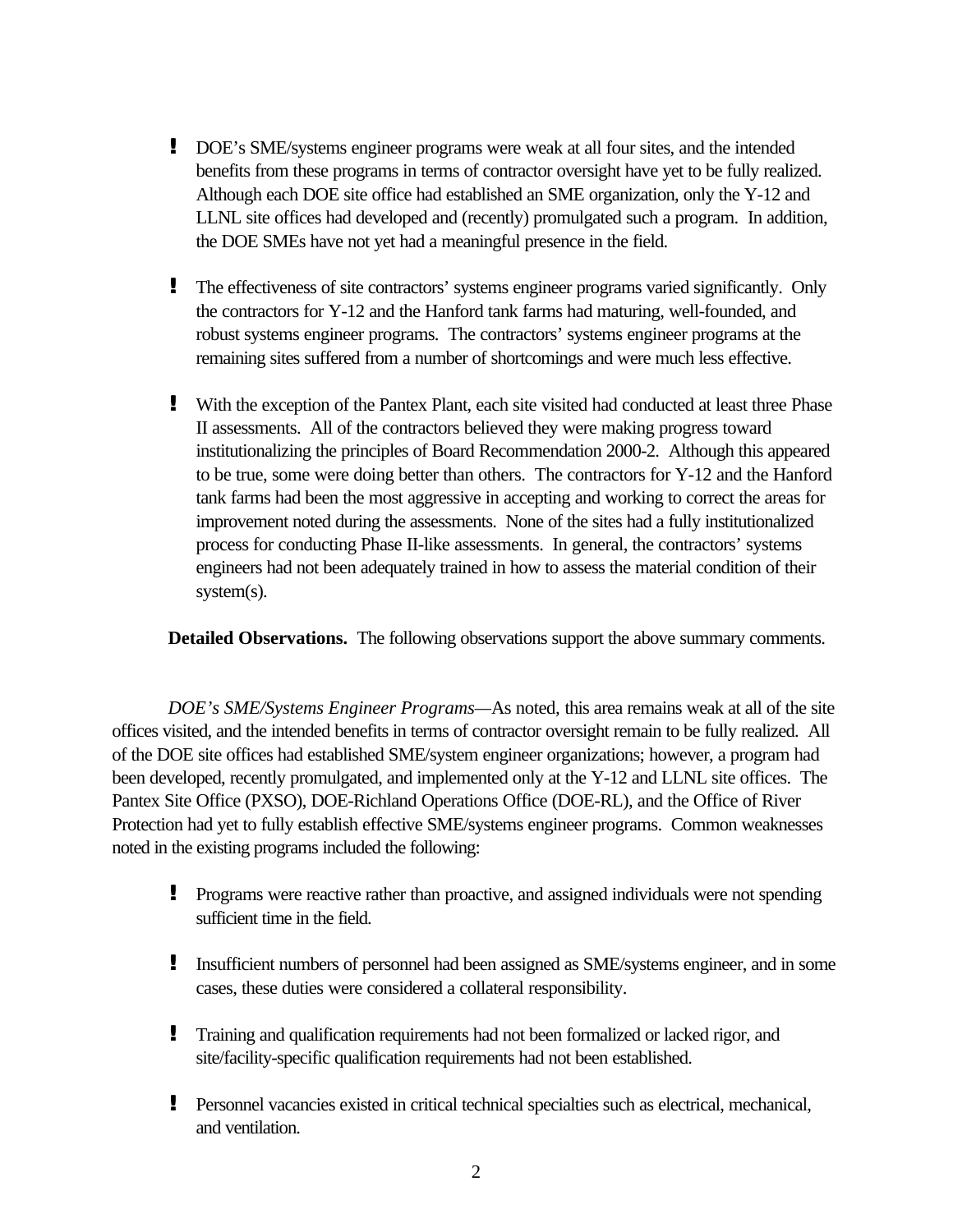- **!** DOE's SME/systems engineer programs were weak at all four sites, and the intended benefits from these programs in terms of contractor oversight have yet to be fully realized. Although each DOE site office had established an SME organization, only the Y-12 and LLNL site offices had developed and (recently) promulgated such a program. In addition, the DOE SMEs have not yet had a meaningful presence in the field.
- **!** The effectiveness of site contractors' systems engineer programs varied significantly. Only the contractors for Y-12 and the Hanford tank farms had maturing, well-founded, and robust systems engineer programs. The contractors' systems engineer programs at the remaining sites suffered from a number of shortcomings and were much less effective.
- **!** With the exception of the Pantex Plant, each site visited had conducted at least three Phase II assessments. All of the contractors believed they were making progress toward institutionalizing the principles of Board Recommendation 2000-2. Although this appeared to be true, some were doing better than others. The contractors for Y-12 and the Hanford tank farms had been the most aggressive in accepting and working to correct the areas for improvement noted during the assessments. None of the sites had a fully institutionalized process for conducting Phase II-like assessments. In general, the contractors' systems engineers had not been adequately trained in how to assess the material condition of their system(s).

**Detailed Observations.** The following observations support the above summary comments.

*DOE's SME/Systems Engineer Programs—*As noted*,* this area remains weak at all of the site offices visited, and the intended benefits in terms of contractor oversight remain to be fully realized. All of the DOE site offices had established SME/system engineer organizations; however, a program had been developed, recently promulgated, and implemented only at the Y-12 and LLNL site offices. The Pantex Site Office (PXSO), DOE-Richland Operations Office (DOE-RL), and the Office of River Protection had yet to fully establish effective SME/systems engineer programs. Common weaknesses noted in the existing programs included the following:

- **!** Programs were reactive rather than proactive, and assigned individuals were not spending sufficient time in the field.
- **!** Insufficient numbers of personnel had been assigned as SME/systems engineer, and in some cases, these duties were considered a collateral responsibility.
- **!** Training and qualification requirements had not been formalized or lacked rigor, and site/facility-specific qualification requirements had not been established.
- **!** Personnel vacancies existed in critical technical specialties such as electrical, mechanical, and ventilation.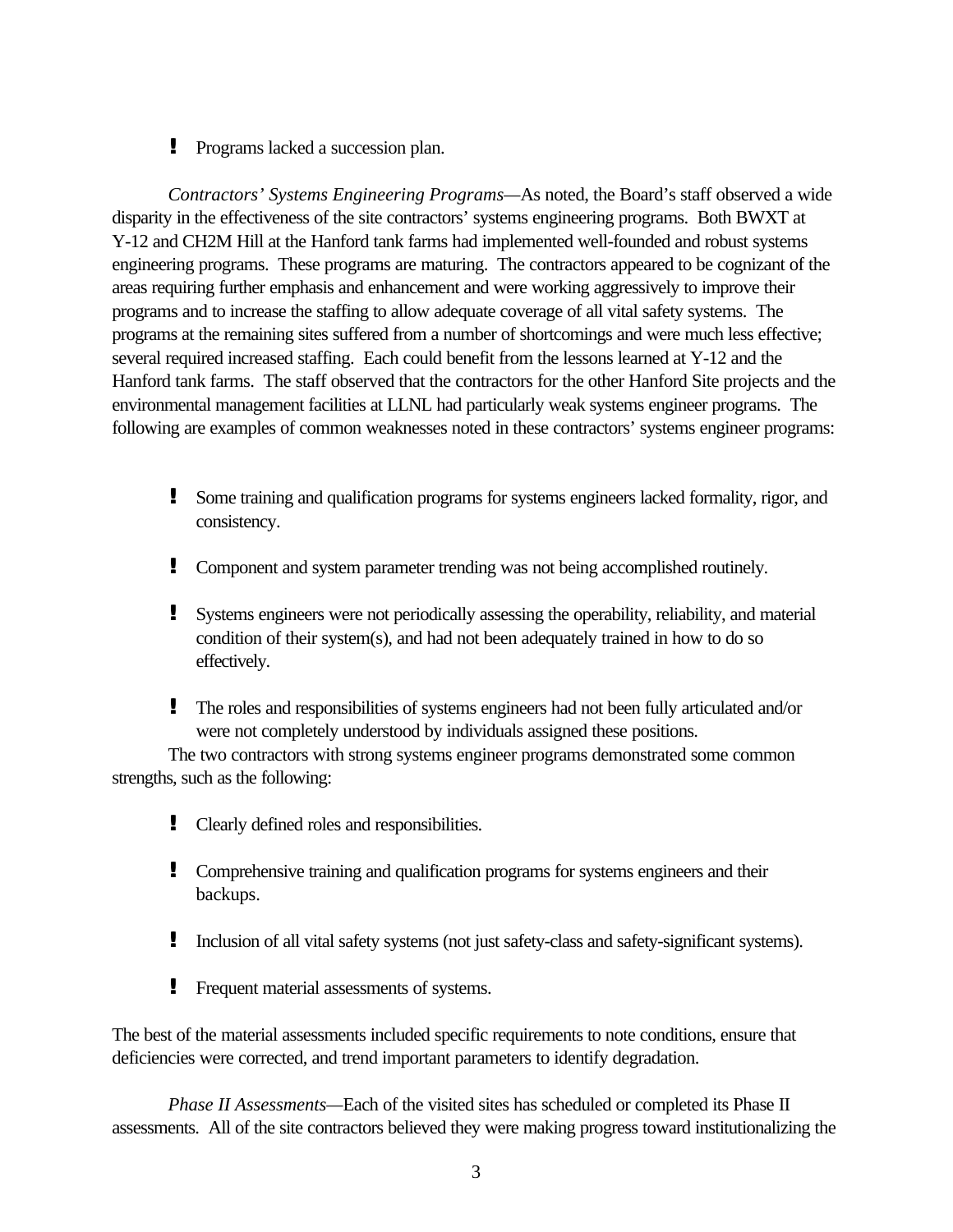**!** Programs lacked a succession plan.

*Contractors' Systems Engineering Programs—*As noted, the Board's staff observed a wide disparity in the effectiveness of the site contractors' systems engineering programs. Both BWXT at Y-12 and CH2M Hill at the Hanford tank farms had implemented well-founded and robust systems engineering programs. These programs are maturing. The contractors appeared to be cognizant of the areas requiring further emphasis and enhancement and were working aggressively to improve their programs and to increase the staffing to allow adequate coverage of all vital safety systems. The programs at the remaining sites suffered from a number of shortcomings and were much less effective; several required increased staffing. Each could benefit from the lessons learned at Y-12 and the Hanford tank farms. The staff observed that the contractors for the other Hanford Site projects and the environmental management facilities at LLNL had particularly weak systems engineer programs. The following are examples of common weaknesses noted in these contractors' systems engineer programs:

- **!** Some training and qualification programs for systems engineers lacked formality, rigor, and consistency.
- **!** Component and system parameter trending was not being accomplished routinely.
- **!** Systems engineers were not periodically assessing the operability, reliability, and material condition of their system(s), and had not been adequately trained in how to do so effectively.
- **!** The roles and responsibilities of systems engineers had not been fully articulated and/or were not completely understood by individuals assigned these positions.

The two contractors with strong systems engineer programs demonstrated some common strengths, such as the following:

- **!** Clearly defined roles and responsibilities.
- **!** Comprehensive training and qualification programs for systems engineers and their backups.
- **!** Inclusion of all vital safety systems (not just safety-class and safety-significant systems).
- **!** Frequent material assessments of systems.

The best of the material assessments included specific requirements to note conditions, ensure that deficiencies were corrected, and trend important parameters to identify degradation.

*Phase II Assessments—Each of the visited sites has scheduled or completed its Phase II* assessments. All of the site contractors believed they were making progress toward institutionalizing the